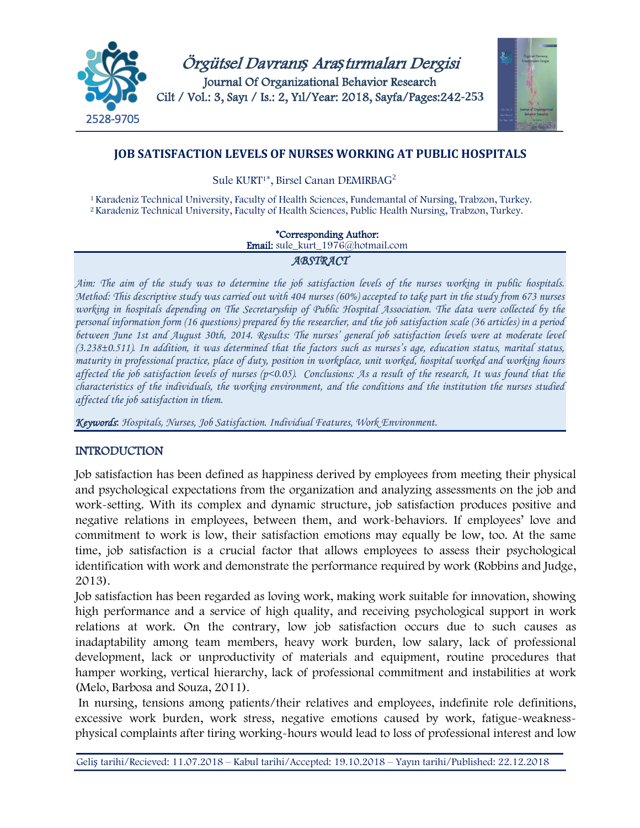



# **JOB SATISFACTION LEVELS OF NURSES WORKING AT PUBLIC HOSPITALS**

Sule KURT1\*, Birsel Canan DEMIRBAG2

<sup>1</sup> Karadeniz Technical University, Faculty of Health Sciences, Fundemantal of Nursing, Trabzon, Turkey. <sup>2</sup>Karadeniz Technical University, Faculty of Health Sciences, Public Health Nursing, Trabzon, Turkey.

\*Corresponding Author:

Email: sule\_kurt\_1976@hotmail.com

### *ABSTRACT*

*Aim: The aim of the study was to determine the job satisfaction levels of the nurses working in public hospitals. Method: This descriptive study was carried out with 404 nurses (60%) accepted to take part in the study from 673 nurses working in hospitals depending on The Secretaryship of Public Hospital Association. The data were collected by the personal information form (16 questions) prepared by the researcher, and the job satisfaction scale (36 articles) in a period between June 1st and August 30th, 2014. Results: The nurses' general job satisfaction levels were at moderate level (3.238±0.511). In addition, it was determined that the factors such as nurses's age, education status, marital status, maturity in professional practice, place of duty, position in workplace, unit worked, hospital worked and working hours affected the job satisfaction levels of nurses (p<0.05). Conclusions: As a result of the research, It was found that the characteristics of the individuals, the working environment, and the conditions and the institution the nurses studied affected the job satisfaction in them.*

*Keywords*: *Hospitals, Nurses, Job Satisfaction. Individual Features, Work Environment.*

# INTRODUCTION

Job satisfaction has been defined as happiness derived by employees from meeting their physical and psychological expectations from the organization and analyzing assessments on the job and work-setting. With its complex and dynamic structure, job satisfaction produces positive and negative relations in employees, between them, and work-behaviors. If employees' love and commitment to work is low, their satisfaction emotions may equally be low, too. At the same time, job satisfaction is a crucial factor that allows employees to assess their psychological identification with work and demonstrate the performance required by work (Robbins and Judge, 2013).

Job satisfaction has been regarded as loving work, making work suitable for innovation, showing high performance and a service of high quality, and receiving psychological support in work relations at work. On the contrary, low job satisfaction occurs due to such causes as inadaptability among team members, heavy work burden, low salary, lack of professional development, lack or unproductivity of materials and equipment, routine procedures that hamper working, vertical hierarchy, lack of professional commitment and instabilities at work (Melo, Barbosa and Souza, 2011).

 In nursing, tensions among patients/their relatives and employees, indefinite role definitions, excessive work burden, work stress, negative emotions caused by work, fatigue-weaknessphysical complaints after tiring working-hours would lead to loss of professional interest and low

Geliş tarihi/Recieved: 11.07.2018 – Kabul tarihi/Accepted: 19.10.2018 – Yayın tarihi/Published: 22.12.2018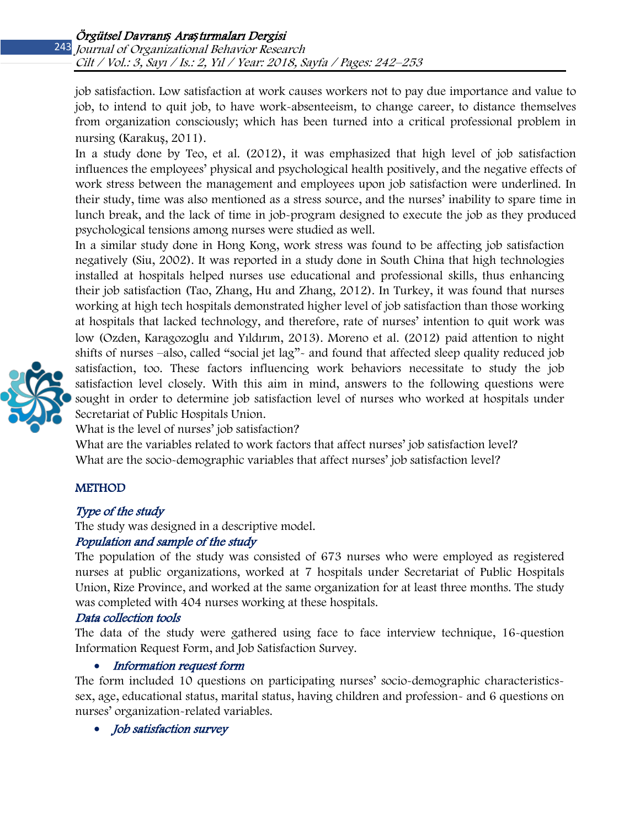job satisfaction. Low satisfaction at work causes workers not to pay due importance and value to job, to intend to quit job, to have work-absenteeism, to change career, to distance themselves from organization consciously; which has been turned into a critical professional problem in nursing (Karakuş, 2011).

In a study done by Teo, et al. (2012), it was emphasized that high level of job satisfaction influences the employees' physical and psychological health positively, and the negative effects of work stress between the management and employees upon job satisfaction were underlined. In their study, time was also mentioned as a stress source, and the nurses' inability to spare time in lunch break, and the lack of time in job-program designed to execute the job as they produced psychological tensions among nurses were studied as well.

In a similar study done in Hong Kong, work stress was found to be affecting job satisfaction negatively (Siu, 2002). It was reported in a study done in South China that high technologies installed at hospitals helped nurses use educational and professional skills, thus enhancing their job satisfaction (Tao, Zhang, Hu and Zhang, 2012). In Turkey, it was found that nurses working at high tech hospitals demonstrated higher level of job satisfaction than those working at hospitals that lacked technology, and therefore, rate of nurses' intention to quit work was low (Ozden, Karagozoglu and Yıldırım, 2013). Moreno et al. (2012) paid attention to night shifts of nurses –also, called "social jet lag"- and found that affected sleep quality reduced job satisfaction, too. These factors influencing work behaviors necessitate to study the job satisfaction level closely. With this aim in mind, answers to the following questions were sought in order to determine job satisfaction level of nurses who worked at hospitals under Secretariat of Public Hospitals Union.



What is the level of nurses' job satisfaction?

What are the variables related to work factors that affect nurses' job satisfaction level? What are the socio-demographic variables that affect nurses' job satisfaction level?

# **METHOD**

# Type of the study

The study was designed in a descriptive model.

# Population and sample of the study

The population of the study was consisted of 673 nurses who were employed as registered nurses at public organizations, worked at 7 hospitals under Secretariat of Public Hospitals Union, Rize Province, and worked at the same organization for at least three months. The study was completed with 404 nurses working at these hospitals.

# Data collection tools

The data of the study were gathered using face to face interview technique, 16-question Information Request Form, and Job Satisfaction Survey.

# • Information request form

The form included 10 questions on participating nurses' socio-demographic characteristicssex, age, educational status, marital status, having children and profession- and 6 questions on nurses' organization-related variables.

• Job satisfaction survey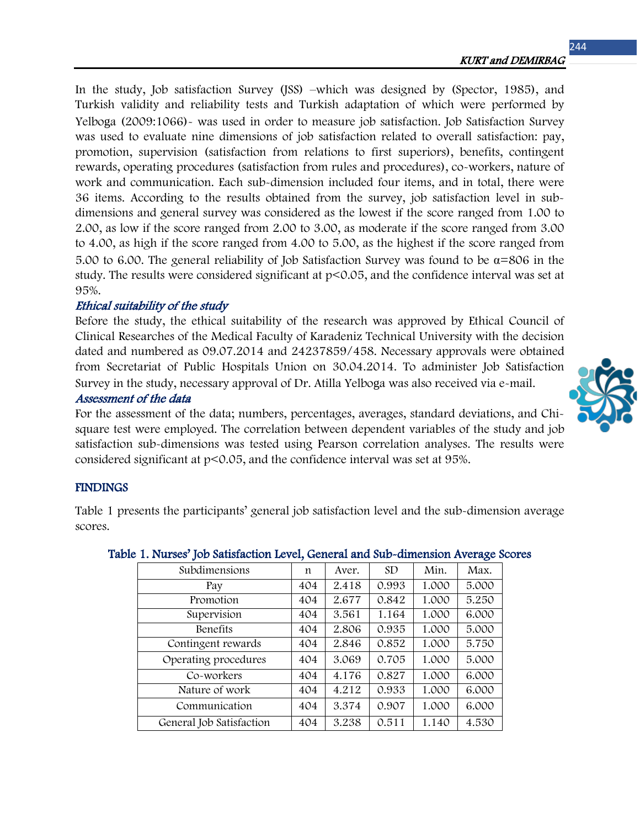244

In the study, Job satisfaction Survey (JSS) –which was designed by (Spector, 1985), and Turkish validity and reliability tests and Turkish adaptation of which were performed by Yelboga (2009:1066)- was used in order to measure job satisfaction. Job Satisfaction Survey was used to evaluate nine dimensions of job satisfaction related to overall satisfaction: pay, promotion, supervision (satisfaction from relations to first superiors), benefits, contingent rewards, operating procedures (satisfaction from rules and procedures), co-workers, nature of work and communication. Each sub-dimension included four items, and in total, there were 36 items. According to the results obtained from the survey, job satisfaction level in subdimensions and general survey was considered as the lowest if the score ranged from 1.00 to 2.00, as low if the score ranged from 2.00 to 3.00, as moderate if the score ranged from 3.00 to 4.00, as high if the score ranged from 4.00 to 5.00, as the highest if the score ranged from 5.00 to 6.00. The general reliability of Job Satisfaction Survey was found to be  $\alpha$ =806 in the study. The results were considered significant at p<0.05, and the confidence interval was set at 95%.

### Ethical suitability of the study

Before the study, the ethical suitability of the research was approved by Ethical Council of Clinical Researches of the Medical Faculty of Karadeniz Technical University with the decision dated and numbered as 09.07.2014 and 24237859/458. Necessary approvals were obtained from Secretariat of Public Hospitals Union on 30.04.2014. To administer Job Satisfaction Survey in the study, necessary approval of Dr. Atilla Yelboga was also received via e-mail. Assessment of the data

For the assessment of the data; numbers, percentages, averages, standard deviations, and Chisquare test were employed. The correlation between dependent variables of the study and job satisfaction sub-dimensions was tested using Pearson correlation analyses. The results were considered significant at p<0.05, and the confidence interval was set at 95%.

### **FINDINGS**

Table 1 presents the participants' general job satisfaction level and the sub-dimension average scores.

| Subdimensions            | n   | Aver. | <b>SD</b> | Min.  | Max.  |
|--------------------------|-----|-------|-----------|-------|-------|
| Pay                      | 404 | 2.418 | 0.993     | 1.000 | 5.000 |
| Promotion                | 404 | 2.677 | 0.842     | 1.000 | 5.250 |
| Supervision              | 404 | 3.561 | 1.164     | 1.000 | 6.000 |
| Benefits                 | 404 | 2.806 | 0.935     | 1.000 | 5.000 |
| Contingent rewards       | 404 | 2.846 | 0.852     | 1.000 | 5.750 |
| Operating procedures     | 404 | 3.069 | 0.705     | 1.000 | 5.000 |
| Co-workers               | 404 | 4.176 | 0.827     | 1.000 | 6.000 |
| Nature of work           | 404 | 4.212 | 0.933     | 1.000 | 6.000 |
| Communication            | 404 | 3.374 | 0.907     | 1.000 | 6.000 |
| General Job Satisfaction | 404 | 3.238 | 0.511     | 1.140 | 4.530 |

#### Table 1. Nurses' Job Satisfaction Level, General and Sub-dimension Average Scores

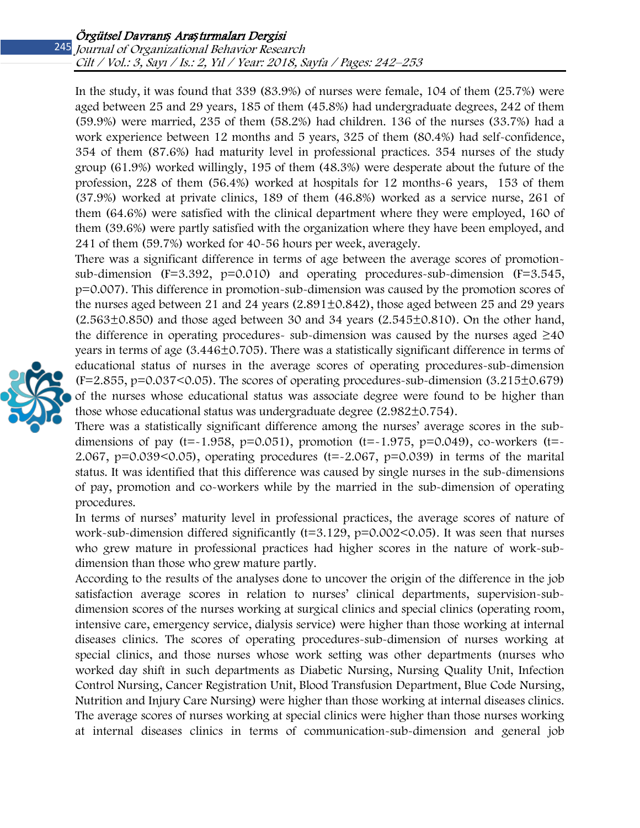#### Journal of Organizational Behavior Research Cilt / Vol.: 3, Sayı / Is.: 2, Yıl / Year: 2018, Sayfa / Pages: 242–253

In the study, it was found that 339 (83.9%) of nurses were female, 104 of them (25.7%) were aged between 25 and 29 years, 185 of them (45.8%) had undergraduate degrees, 242 of them (59.9%) were married, 235 of them (58.2%) had children. 136 of the nurses (33.7%) had a work experience between 12 months and 5 years, 325 of them (80.4%) had self-confidence, 354 of them (87.6%) had maturity level in professional practices. 354 nurses of the study group (61.9%) worked willingly, 195 of them (48.3%) were desperate about the future of the profession, 228 of them (56.4%) worked at hospitals for 12 months-6 years, 153 of them (37.9%) worked at private clinics, 189 of them (46.8%) worked as a service nurse, 261 of them (64.6%) were satisfied with the clinical department where they were employed, 160 of them (39.6%) were partly satisfied with the organization where they have been employed, and 241 of them (59.7%) worked for 40-56 hours per week, averagely.

There was a significant difference in terms of age between the average scores of promotionsub-dimension  $(F=3.392, p=0.010)$  and operating procedures-sub-dimension  $(F=3.545, p=0.010)$ p=0.007). This difference in promotion-sub-dimension was caused by the promotion scores of the nurses aged between 21 and 24 years  $(2.891\pm0.842)$ , those aged between 25 and 29 years  $(2.563\pm0.850)$  and those aged between 30 and 34 years  $(2.545\pm0.810)$ . On the other hand, the difference in operating procedures- sub-dimension was caused by the nurses aged  $\geq$ 40 years in terms of age (3.446±0.705). There was a statistically significant difference in terms of educational status of nurses in the average scores of operating procedures-sub-dimension  $(F=2.855, p=0.037<0.05)$ . The scores of operating procedures-sub-dimension  $(3.215\pm0.679)$ of the nurses whose educational status was associate degree were found to be higher than those whose educational status was undergraduate degree  $(2.982 \pm 0.754)$ .

There was a statistically significant difference among the nurses' average scores in the subdimensions of pay (t=~1.958, p=0.051), promotion (t=~1.975, p=0.049), co-workers (t=~ 2.067, p=0.039<0.05), operating procedures (t=-2.067, p=0.039) in terms of the marital status. It was identified that this difference was caused by single nurses in the sub-dimensions of pay, promotion and co-workers while by the married in the sub-dimension of operating procedures.

In terms of nurses' maturity level in professional practices, the average scores of nature of work-sub-dimension differed significantly (t=3.129, p=0.002<0.05). It was seen that nurses who grew mature in professional practices had higher scores in the nature of work-subdimension than those who grew mature partly.

According to the results of the analyses done to uncover the origin of the difference in the job satisfaction average scores in relation to nurses' clinical departments, supervision-subdimension scores of the nurses working at surgical clinics and special clinics (operating room, intensive care, emergency service, dialysis service) were higher than those working at internal diseases clinics. The scores of operating procedures-sub-dimension of nurses working at special clinics, and those nurses whose work setting was other departments (nurses who worked day shift in such departments as Diabetic Nursing, Nursing Quality Unit, Infection Control Nursing, Cancer Registration Unit, Blood Transfusion Department, Blue Code Nursing, Nutrition and Injury Care Nursing) were higher than those working at internal diseases clinics. The average scores of nurses working at special clinics were higher than those nurses working at internal diseases clinics in terms of communication-sub-dimension and general job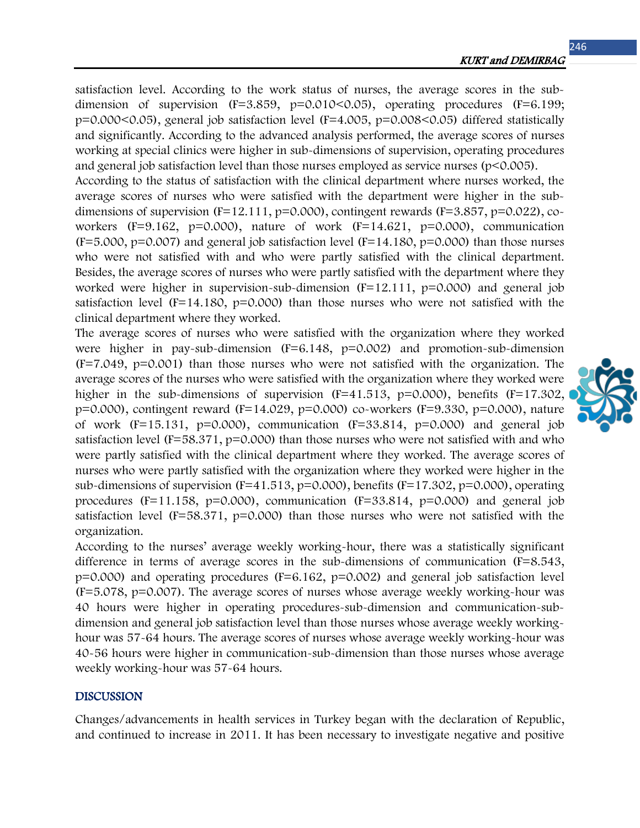satisfaction level. According to the work status of nurses, the average scores in the subdimension of supervision  $(F=3.859, p=0.010<0.05)$ , operating procedures  $(F=6.199;$ p=0.000<0.05), general job satisfaction level (F=4.005, p=0.008<0.05) differed statistically and significantly. According to the advanced analysis performed, the average scores of nurses working at special clinics were higher in sub-dimensions of supervision, operating procedures and general job satisfaction level than those nurses employed as service nurses (p<0.005).

According to the status of satisfaction with the clinical department where nurses worked, the average scores of nurses who were satisfied with the department were higher in the subdimensions of supervision ( $F=12.111$ ,  $p=0.000$ ), contingent rewards ( $F=3.857$ ,  $p=0.022$ ), coworkers (F=9.162, p=0.000), nature of work (F=14.621, p=0.000), communication  $(F=5.000, p=0.007)$  and general job satisfaction level  $(F=14.180, p=0.000)$  than those nurses who were not satisfied with and who were partly satisfied with the clinical department. Besides, the average scores of nurses who were partly satisfied with the department where they worked were higher in supervision-sub-dimension (F=12.111, p=0.000) and general job satisfaction level  $(F=14.180, p=0.000)$  than those nurses who were not satisfied with the clinical department where they worked.

The average scores of nurses who were satisfied with the organization where they worked were higher in pay-sub-dimension  $(F=6.148, p=0.002)$  and promotion-sub-dimension (F=7.049, p=0.001) than those nurses who were not satisfied with the organization. The average scores of the nurses who were satisfied with the organization where they worked were higher in the sub-dimensions of supervision  $(F=41.513, p=0.000)$ , benefits  $(F=17.302, p=0.000)$ p=0.000), contingent reward (F=14.029, p=0.000) co-workers (F=9.330, p=0.000), nature of work  $(F=15.131, p=0.000)$ , communication  $(F=33.814, p=0.000)$  and general job satisfaction level ( $F=58.371$ ,  $p=0.000$ ) than those nurses who were not satisfied with and who were partly satisfied with the clinical department where they worked. The average scores of nurses who were partly satisfied with the organization where they worked were higher in the sub-dimensions of supervision  $(F=41.513, p=0.000)$ , benefits  $(F=17.302, p=0.000)$ , operating procedures ( $F=11.158$ ,  $p=0.000$ ), communication ( $F=33.814$ ,  $p=0.000$ ) and general job satisfaction level ( $F=58.371$ ,  $p=0.000$ ) than those nurses who were not satisfied with the organization.

According to the nurses' average weekly working-hour, there was a statistically significant difference in terms of average scores in the sub-dimensions of communication (F=8.543, p=0.000) and operating procedures (F=6.162, p=0.002) and general job satisfaction level (F=5.078, p=0.007). The average scores of nurses whose average weekly working-hour was 40 hours were higher in operating procedures-sub-dimension and communication-subdimension and general job satisfaction level than those nurses whose average weekly workinghour was 57-64 hours. The average scores of nurses whose average weekly working-hour was 40-56 hours were higher in communication-sub-dimension than those nurses whose average weekly working-hour was 57-64 hours.

#### DISCUSSION

Changes/advancements in health services in Turkey began with the declaration of Republic, and continued to increase in 2011. It has been necessary to investigate negative and positive

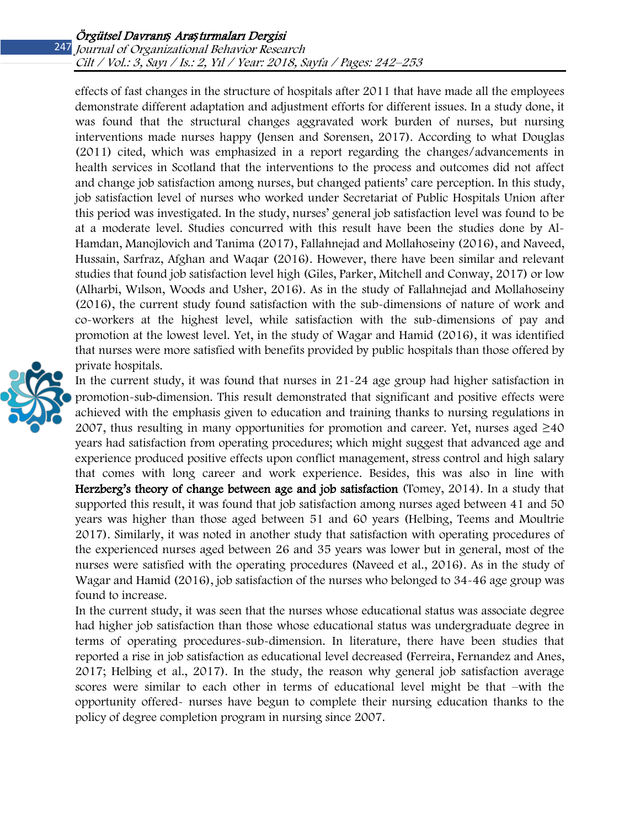effects of fast changes in the structure of hospitals after 2011 that have made all the employees demonstrate different adaptation and adjustment efforts for different issues. In a study done, it was found that the structural changes aggravated work burden of nurses, but nursing interventions made nurses happy (Jensen and Sorensen, 2017). According to what Douglas (2011) cited, which was emphasized in a report regarding the changes/advancements in health services in Scotland that the interventions to the process and outcomes did not affect and change job satisfaction among nurses, but changed patients' care perception. In this study, job satisfaction level of nurses who worked under Secretariat of Public Hospitals Union after this period was investigated. In the study, nurses' general job satisfaction level was found to be at a moderate level. Studies concurred with this result have been the studies done by Al-Hamdan, Manojlovich and Tanima (2017), Fallahnejad and Mollahoseiny (2016), and Naveed, Hussain, Sarfraz, Afghan and Waqar (2016). However, there have been similar and relevant studies that found job satisfaction level high (Giles, Parker, Mitchell and Conway, 2017) or low (Alharbi, Wılson, Woods and Usher, 2016). As in the study of Fallahnejad and Mollahoseiny (2016), the current study found satisfaction with the sub-dimensions of nature of work and co-workers at the highest level, while satisfaction with the sub-dimensions of pay and promotion at the lowest level. Yet, in the study of Wagar and Hamid (2016), it was identified that nurses were more satisfied with benefits provided by public hospitals than those offered by private hospitals.



In the current study, it was found that nurses in 21-24 age group had higher satisfaction in promotion-sub-dimension. This result demonstrated that significant and positive effects were achieved with the emphasis given to education and training thanks to nursing regulations in 2007, thus resulting in many opportunities for promotion and career. Yet, nurses aged  $\geq$ 40 years had satisfaction from operating procedures; which might suggest that advanced age and experience produced positive effects upon conflict management, stress control and high salary that comes with long career and work experience. Besides, this was also in line with Herzberg's theory of change between age and job satisfaction (Tomey, 2014). In a study that supported this result, it was found that job satisfaction among nurses aged between 41 and 50 years was higher than those aged between 51 and 60 years (Helbing, Teems and Moultrie 2017). Similarly, it was noted in another study that satisfaction with operating procedures of the experienced nurses aged between 26 and 35 years was lower but in general, most of the nurses were satisfied with the operating procedures (Naveed et al., 2016). As in the study of Wagar and Hamid (2016), job satisfaction of the nurses who belonged to 34-46 age group was found to increase.

In the current study, it was seen that the nurses whose educational status was associate degree had higher job satisfaction than those whose educational status was undergraduate degree in terms of operating procedures-sub-dimension. In literature, there have been studies that reported a rise in job satisfaction as educational level decreased (Ferreira, Fernandez and Anes, 2017; Helbing et al., 2017). In the study, the reason why general job satisfaction average scores were similar to each other in terms of educational level might be that –with the opportunity offered- nurses have begun to complete their nursing education thanks to the policy of degree completion program in nursing since 2007.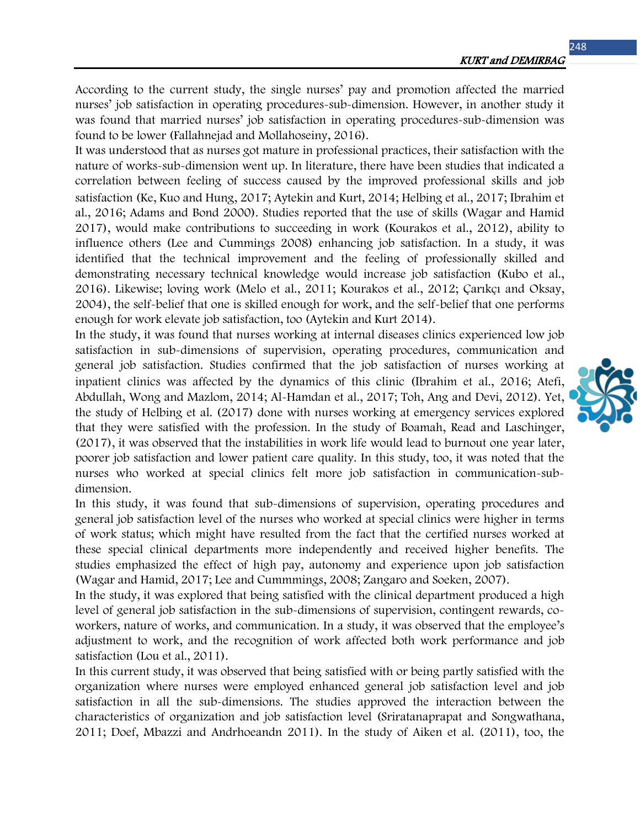248

According to the current study, the single nurses' pay and promotion affected the married nurses' job satisfaction in operating procedures-sub-dimension. However, in another study it was found that married nurses' job satisfaction in operating procedures-sub-dimension was found to be lower (Fallahnejad and Mollahoseiny, 2016).

It was understood that as nurses got mature in professional practices, their satisfaction with the nature of works-sub-dimension went up. In literature, there have been studies that indicated a correlation between feeling of success caused by the improved professional skills and job satisfaction (Ke, Kuo and Hung, 2017; Aytekin and Kurt, 2014; Helbing et al., 2017; Ibrahim et al., 2016; Adams and Bond 2000). Studies reported that the use of skills (Wagar and Hamid 2017), would make contributions to succeeding in work (Kourakos et al., 2012), ability to influence others (Lee and Cummings 2008) enhancing job satisfaction. In a study, it was identified that the technical improvement and the feeling of professionally skilled and demonstrating necessary technical knowledge would increase job satisfaction (Kubo et al., 2016). Likewise; loving work (Melo et al., 2011; Kourakos et al., 2012; Çarıkçı and Oksay, 2004), the self-belief that one is skilled enough for work, and the self-belief that one performs enough for work elevate job satisfaction, too (Aytekin and Kurt 2014).

In the study, it was found that nurses working at internal diseases clinics experienced low job satisfaction in sub-dimensions of supervision, operating procedures, communication and general job satisfaction. Studies confirmed that the job satisfaction of nurses working at inpatient clinics was affected by the dynamics of this clinic (Ibrahim et al., 2016; Atefi, Abdullah, Wong and Mazlom, 2014; Al-Hamdan et al., 2017; Toh, Ang and Devi, 2012). Yet, the study of Helbing et al. (2017) done with nurses working at emergency services explored that they were satisfied with the profession. In the study of Boamah, Read and Laschinger, (2017), it was observed that the instabilities in work life would lead to burnout one year later, poorer job satisfaction and lower patient care quality. In this study, too, it was noted that the nurses who worked at special clinics felt more job satisfaction in communication-subdimension.

In this study, it was found that sub-dimensions of supervision, operating procedures and general job satisfaction level of the nurses who worked at special clinics were higher in terms of work status; which might have resulted from the fact that the certified nurses worked at these special clinical departments more independently and received higher benefits. The studies emphasized the effect of high pay, autonomy and experience upon job satisfaction (Wagar and Hamid, 2017; Lee and Cummmings, 2008; Zangaro and Soeken, 2007).

In the study, it was explored that being satisfied with the clinical department produced a high level of general job satisfaction in the sub-dimensions of supervision, contingent rewards, coworkers, nature of works, and communication. In a study, it was observed that the employee's adjustment to work, and the recognition of work affected both work performance and job satisfaction (Lou et al., 2011).

In this current study, it was observed that being satisfied with or being partly satisfied with the organization where nurses were employed enhanced general job satisfaction level and job satisfaction in all the sub-dimensions. The studies approved the interaction between the characteristics of organization and job satisfaction level (Sriratanaprapat and Songwathana, 2011; Doef, Mbazzi and Andrhoeandn 2011). In the study of Aiken et al. (2011), too, the

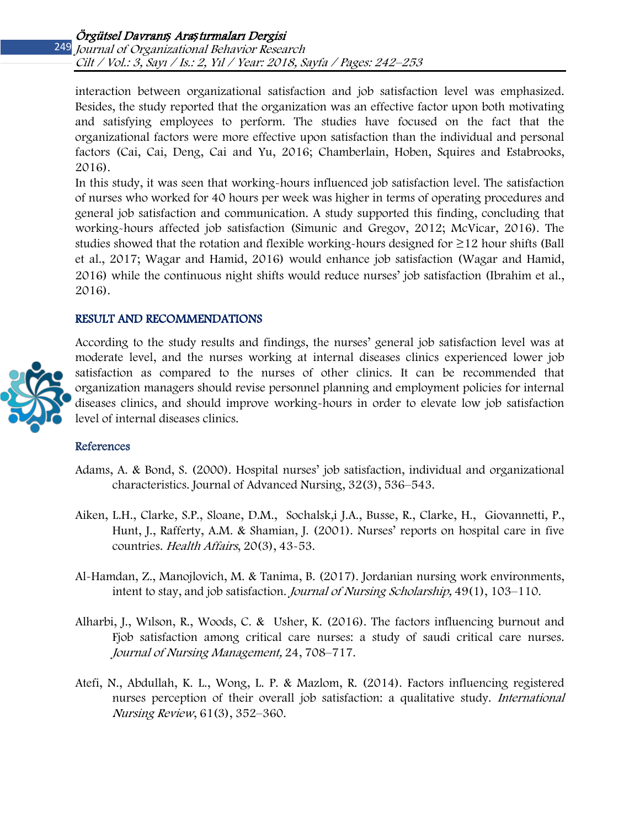interaction between organizational satisfaction and job satisfaction level was emphasized. Besides, the study reported that the organization was an effective factor upon both motivating and satisfying employees to perform. The studies have focused on the fact that the organizational factors were more effective upon satisfaction than the individual and personal factors (Cai, Cai, Deng, Cai and Yu, 2016; Chamberlain, Hoben, Squires and Estabrooks, 2016).

In this study, it was seen that working-hours influenced job satisfaction level. The satisfaction of nurses who worked for 40 hours per week was higher in terms of operating procedures and general job satisfaction and communication. A study supported this finding, concluding that working-hours affected job satisfaction (Simunic and Gregov, 2012; McVicar, 2016). The studies showed that the rotation and flexible working-hours designed for  $\geq$  12 hour shifts (Ball et al., 2017; Wagar and Hamid, 2016) would enhance job satisfaction (Wagar and Hamid, 2016) while the continuous night shifts would reduce nurses' job satisfaction (Ibrahim et al., 2016).

### RESULT AND RECOMMENDATIONS



According to the study results and findings, the nurses' general job satisfaction level was at moderate level, and the nurses working at internal diseases clinics experienced lower job satisfaction as compared to the nurses of other clinics. It can be recommended that organization managers should revise personnel planning and employment policies for internal diseases clinics, and should improve working-hours in order to elevate low job satisfaction level of internal diseases clinics.

#### References

- Adams, A. & Bond, S. (2000). Hospital nurses' job satisfaction, individual and organizational characteristics. Journal of Advanced Nursing, 32(3), 536–543.
- Aiken, L.H., Clarke, S.P., Sloane, D.M., Sochalsk,i J.A., Busse, R., Clarke, H., Giovannetti, P., Hunt, J., Rafferty, A.M. & Shamian, J. (2001). Nurses' reports on hospital care in five countries. Health Affairs, 20(3), 43-53.
- Al-Hamdan, Z., Manojlovich, M. & Tanima, B. (2017). Jordanian nursing work environments, intent to stay, and job satisfaction. Journal of Nursing Scholarship, 49(1), 103–110.
- Alharbi, J., Wılson, R., Woods, C. & Usher, K. (2016). The factors influencing burnout and Fjob satisfaction among critical care nurses: a study of saudi critical care nurses. Journal of Nursing Management, 24, 708–717.
- Atefi, N., Abdullah, K. L., Wong, L. P. & Mazlom, R. (2014). Factors influencing registered nurses perception of their overall job satisfaction: a qualitative study. International Nursing Review, 61(3), 352–360.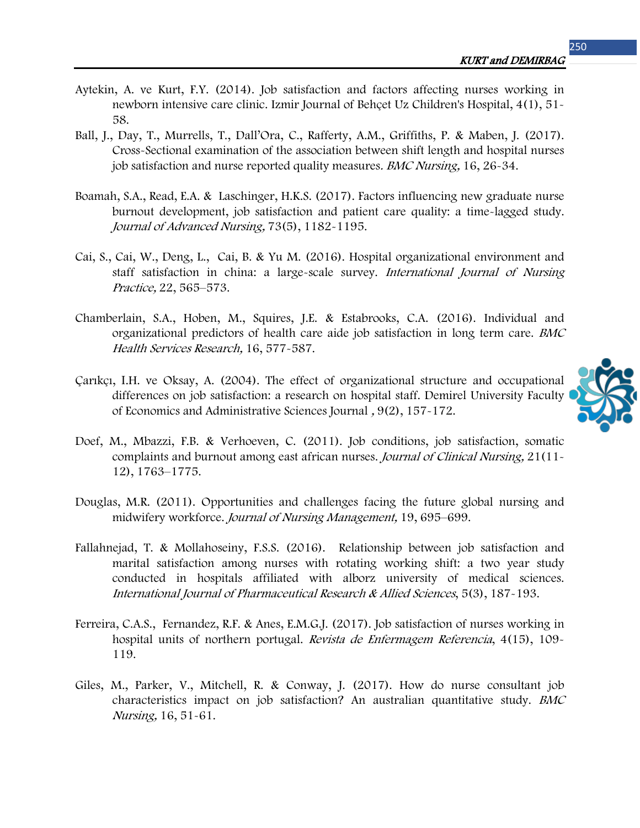- Aytekin, A. ve Kurt, F.Y. (2014). Job satisfaction and factors affecting nurses working in newborn intensive care clinic. Izmir Journal of Behçet Uz Children's Hospital, 4(1), 51- 58.
- Ball, J., Day, T., Murrells, T., Dall'Ora, C., Rafferty, A.M., Griffiths, P. & Maben, J. (2017). Cross-Sectional examination of the association between shift length and hospital nurses job satisfaction and nurse reported quality measures. BMC Nursing, 16, 26-34.
- Boamah, S.A., Read, E.A. & Laschinger, H.K.S. (2017). Factors influencing new graduate nurse burnout development, job satisfaction and patient care quality: a time-lagged study. Journal of Advanced Nursing, 73(5), 1182-1195.
- Cai, S., Cai, W., Deng, L., Cai, B. & Yu M. (2016). Hospital organizational environment and staff satisfaction in china: a large-scale survey. International Journal of Nursing Practice, 22, 565–573.
- Chamberlain, S.A., Hoben, M., Squires, J.E. & Estabrooks, C.A. (2016). Individual and organizational predictors of health care aide job satisfaction in long term care. BMC Health Services Research, 16, 577-587.
- Çarıkçı, I.H. ve Oksay, A. (2004). The effect of organizational structure and occupational differences on job satisfaction: a research on hospital staff. Demirel University Faculty of Economics and Administrative Sciences Journal , 9(2), 157-172.
- Doef, M., Mbazzi, F.B. & Verhoeven, C. (2011). Job conditions, job satisfaction, somatic complaints and burnout among east african nurses. Journal of Clinical Nursing, 21(11- 12), 1763–1775.
- [Douglas, M.R.](https://www.ncbi.nlm.nih.gov/pubmed/?term=Douglas%20MR%5BAuthor%5D&cauthor=true&cauthor_uid=21899622) (2011). Opportunities and challenges facing the future global nursing and midwifery workforce. Journal of Nursing Management, 19, 695–699.
- Fallahnejad, T. & Mollahoseiny, F.S.S. (2016). Relationship between job satisfaction and marital satisfaction among nurses with rotating working shift: a two year study conducted in hospitals affiliated with alborz university of medical sciences. International Journal of Pharmaceutical Research & Allied Sciences, 5(3), 187-193.
- Ferreira, C.A.S., Fernandez, R.F. & Anes, E.M.G.J. (2017). Job satisfaction of nurses working in hospital units of northern portugal. Revista de Enfermagem Referencia, 4(15), 109-119.
- Giles, M., Parker, V., Mitchell, R. & Conway, J. (2017). How do nurse consultant job characteristics impact on job satisfaction? An australian quantitative study. BMC Nursing, 16, 51-61.

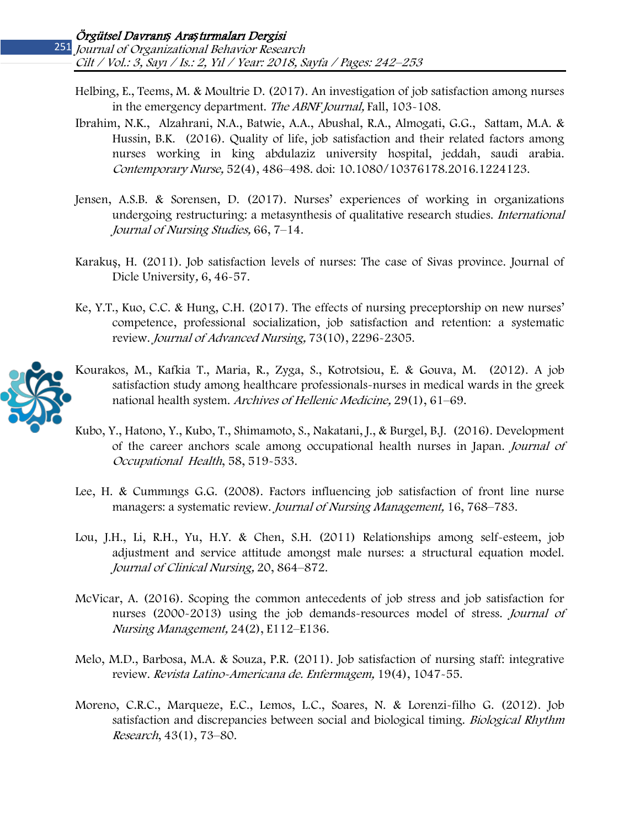- Helbing, E., Teems, M. & Moultrie D. (2017). An investigation of job satisfaction among nurses in the emergency department. The ABNF Journal, Fall, 103-108.
- Ibrahim, N.K., Alzahrani, N.A., Batwie, A.A., Abushal, R.A., Almogati, G.G., Sattam, M.A. & Hussin, B.K. (2016). Quality of life, job satisfaction and their related factors among nurses working in king abdulaziz university hospital, jeddah, saudi arabia. Contemporary Nurse, 52(4), 486–498. doi: 10.1080/10376178.2016.1224123.
- Jensen, A.S.B. & Sorensen, D. (2017). Nurses' experiences of working in organizations undergoing restructuring: a metasynthesis of qualitative research studies. International Journal of Nursing Studies, 66, 7–14.
- Karakuş, H. (2011). Job satisfaction levels of nurses: The case of Sivas province. Journal of Dicle University, 6, 46-57.
- Ke, Y.T., Kuo, C.C. & Hung, C.H. (2017). The effects of nursing preceptorship on new nurses' competence, professional socialization, job satisfaction and retention: a systematic review. [Journal of Advanced Nursi](http://onlinelibrary.wiley.com/journal/10.1111/(ISSN)1365-2648)ng, 73(10), 2296-2305.



- Κourakos, M., Kafkia T., Maria, R., Zyga, S., Kotrotsiou, E. & Gouva, M. (2012). A job satisfaction study among healthcare professionals-nurses in medical wards in the greek national health system. Archives of Hellenic Medicine, 29(1), 61–69.
- Kubo, Y., Hatono, Y., Kubo, T., Shimamoto, S., Nakatani, J., & Burgel, B.J. (2016). Development of the career anchors scale among occupational health nurses in Japan. Journal of Occupational Health, 58, 519-533.
- Lee, H. & Cummıngs G.G. (2008). Factors influencing job satisfaction of front line nurse managers: a systematic review. Journal of Nursing Management, 16, 768–783.
- Lou, J.H., Li, R.H., Yu, H.Y. & Chen, S.H. (2011) Relationships among self-esteem, job adjustment and service attitude amongst male nurses: a structural equation model. Journal of Clinical Nursing, 20, 864–872.
- McVicar, A. (2016). Scoping the common antecedents of job stress and job satisfaction for nurses (2000-2013) using the job demands-resources model of stress. Journal of Nursing Management, 24(2), E112–E136.
- Melo, M.D., Barbosa, M.A. & Souza, P.R. (2011). Job satisfaction of nursing staff: integrative review. Revista Latino-Americana de. Enfermagem, 19(4), 1047-55.
- Moreno, C.R.C., Marqueze, E.C., Lemos, L.C., Soares, N. & Lorenzi-filho G. (2012). Job satisfaction and discrepancies between social and biological timing. Biological Rhythm Research, 43(1), 73–80.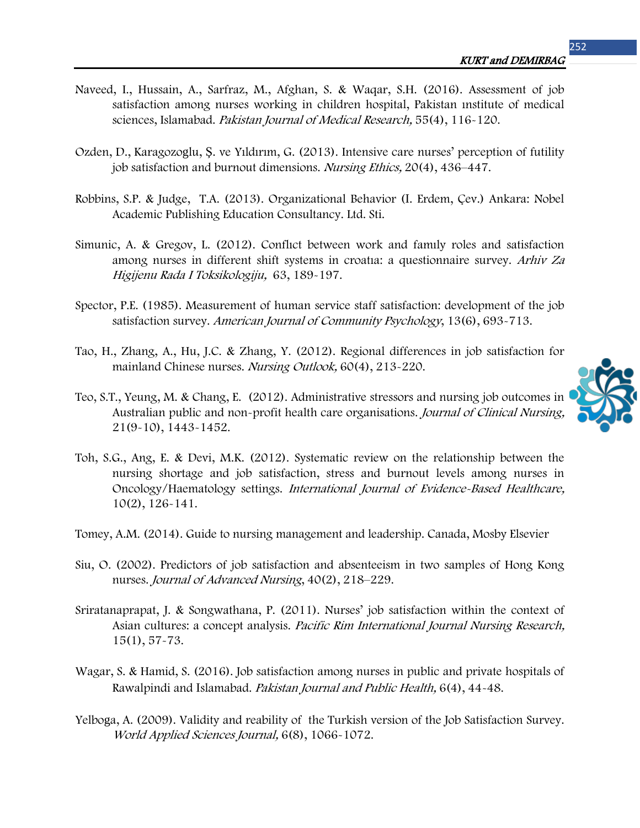- Naveed, I., Hussain, A., Sarfraz, M., Afghan, S. & Waqar, S.H. (2016). Assessment of job satisfaction among nurses working in children hospital, Pakistan ınstitute of medical sciences, Islamabad. Pakistan Journal of Medical Research, 55(4), 116-120.
- Ozden, D., Karagozoglu, Ş. ve Yıldırım, G. (2013). Intensive care nurses' perception of futility job satisfaction and burnout dimensions. Nursing Ethics, 20(4), 436-447.
- Robbins, S.P. & Judge, T.A. (2013). Organizational Behavior (I. Erdem, Çev.) Ankara: Nobel Academic Publishing Education Consultancy. Ltd. Sti.
- Simunic, A. & Gregov, L. (2012). Conflıct between work and famıly roles and satisfaction among nurses in different shift systems in croatıa: a questionnaire survey. [Arhiv Za](https://www.ncbi.nlm.nih.gov/labs/journals/arh-hig-rada-toksikol/)  <sup>H</sup>ig[ijenu Rada I Toksi](https://www.ncbi.nlm.nih.gov/labs/journals/arh-hig-rada-toksikol/)kologiju, 63, 189-197.
- Spector, P.E. (1985). Measurement of human service staff satisfaction: development of the job satisfaction survey. American Journal of Community Psychology, 13(6), 693-713.
- Tao, H., Zhang, A., Hu, J.C. & Zhang, Y. (2012). Regional differences in job satisfaction for mainland Chinese nurses. Nursing Outlook, 60(4), 213-220.
- Teo, S.T., Yeung, M. & Chang, E. (2012). Administrative stressors and nursing job outcomes in Australian public and non-profit health care organisations. Journal of Clinical Nursing, 21(9-10), 1443-1452.
- Toh, S.G., Ang, E. & Devi, M.K. (2012). Systematic review on the relationship between the nursing shortage and job satisfaction, stress and burnout levels among nurses in Oncology/Haematology settings. International Journal of Evidence-Based Healthcare, 10(2), 126-141.
- Tomey, A.M. (2014). Guide to nursing management and leadership. Canada, Mosby Elsevier
- Siu, O. (2002). Predictors of job satisfaction and absenteeism in two samples of Hong Kong nurses. Journal of Advanced Nursing, 40(2), 218–229.
- Sriratanaprapat, J. & Songwathana, P. (2011). Nurses' job satisfaction within the context of Asian cultures: a concept analysis. *Pacific Rim International Journal Nursing Research*, 15(1), 57-73.
- Wagar, S. & Hamid, S. (2016). Job satisfaction among nurses in public and private hospitals of Rawalpindi and Islamabad. Pakistan Journal and Public Health, 6(4), 44-48.
- Yelboga, A. (2009). Validity and reability of the Turkish version of the Job Satisfaction Survey. World Applied Sciences Journal, 6(8), 1066-1072.